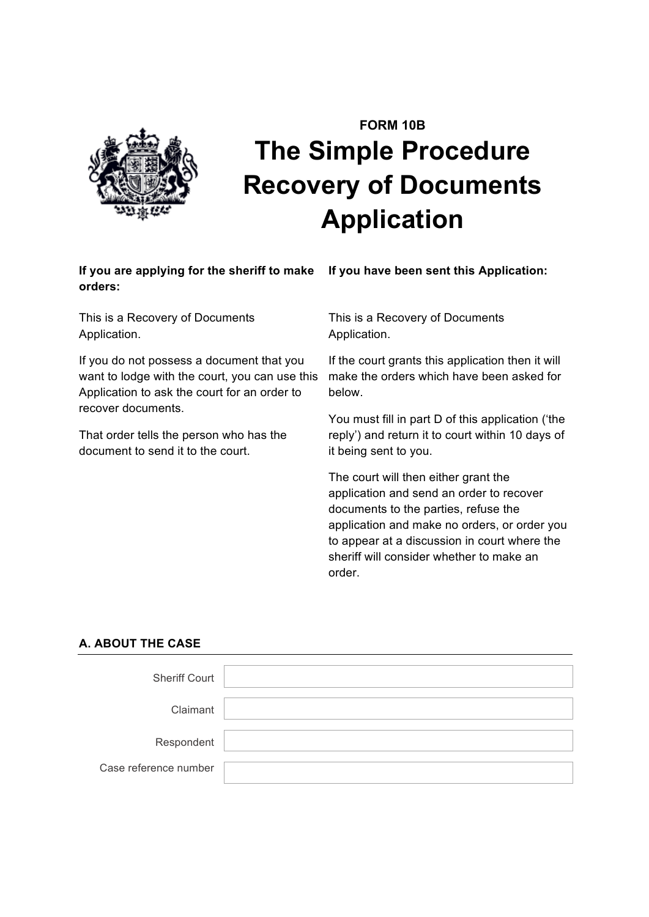

# **FORM 10B The Simple Procedure Recovery of Documents Application**

# If you are applying for the sheriff to make If you have been sent this Application: **orders:**

This is a Recovery of Documents Application.

If you do not possess a document that you want to lodge with the court, you can use this Application to ask the court for an order to recover documents.

That order tells the person who has the document to send it to the court.

This is a Recovery of Documents Application.

If the court grants this application then it will make the orders which have been asked for below.

You must fill in part D of this application ('the reply') and return it to court within 10 days of it being sent to you.

The court will then either grant the application and send an order to recover documents to the parties, refuse the application and make no orders, or order you to appear at a discussion in court where the sheriff will consider whether to make an order.

# **A. ABOUT THE CASE**

| <b>Sheriff Court</b>  |  |
|-----------------------|--|
| Claimant              |  |
| Respondent            |  |
| Case reference number |  |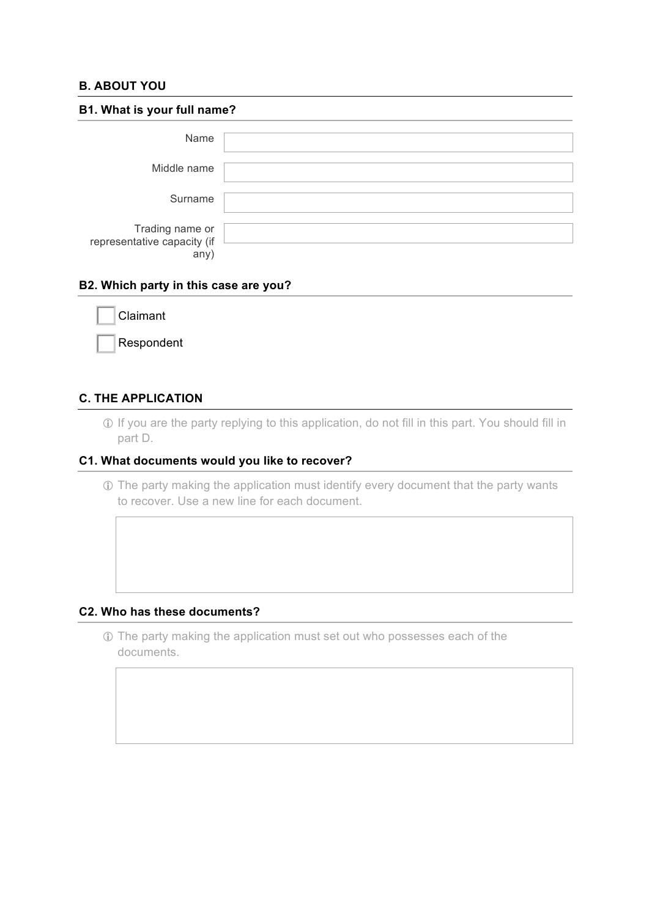# **B. ABOUT YOU**

| B1. What is your full name?                            |  |  |  |
|--------------------------------------------------------|--|--|--|
| Name                                                   |  |  |  |
| Middle name                                            |  |  |  |
| Surname                                                |  |  |  |
| Trading name or<br>representative capacity (if<br>any) |  |  |  |

#### **B2. Which party in this case are you?**

| Claimant |
|----------|
|          |

Respondent

#### **C. THE APPLICATION**

! If you are the party replying to this application, do not fill in this part. You should fill in part D.

# **C1. What documents would you like to recover?**

! The party making the application must identify every document that the party wants to recover. Use a new line for each document.

#### **C2. Who has these documents?**

! The party making the application must set out who possesses each of the documents.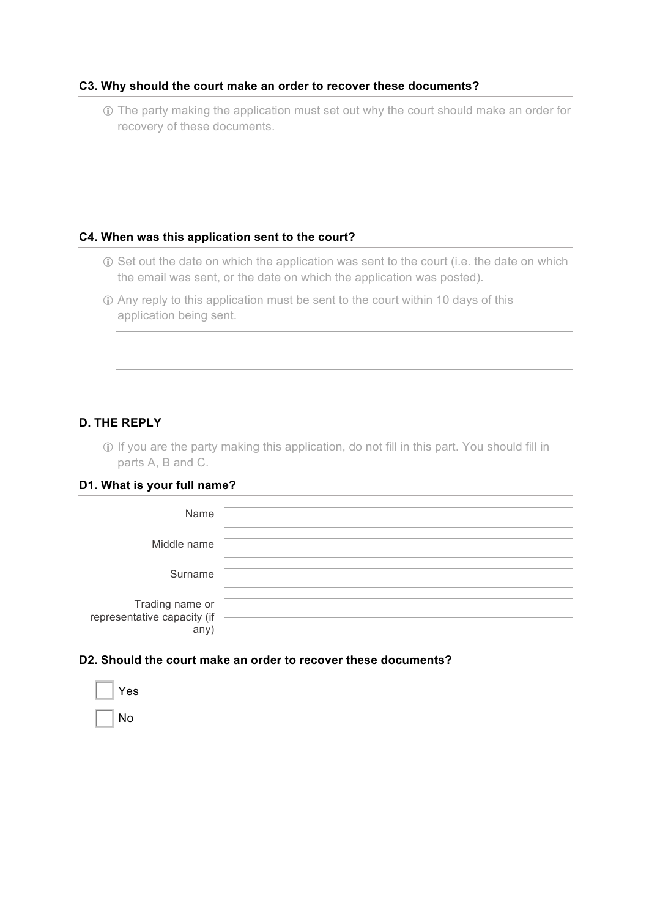#### **C3. Why should the court make an order to recover these documents?**

! The party making the application must set out why the court should make an order for recovery of these documents.

#### **C4. When was this application sent to the court?**

- ! Set out the date on which the application was sent to the court (i.e. the date on which the email was sent, or the date on which the application was posted).
- ! Any reply to this application must be sent to the court within 10 days of this application being sent.

# **D. THE REPLY**

! If you are the party making this application, do not fill in this part. You should fill in parts A, B and C.

#### **D1. What is your full name?**

| Name                                                   |  |
|--------------------------------------------------------|--|
| Middle name                                            |  |
| Surname                                                |  |
| Trading name or<br>representative capacity (if<br>any) |  |

#### **D2. Should the court make an order to recover these documents?**

| Yes |
|-----|
| No  |